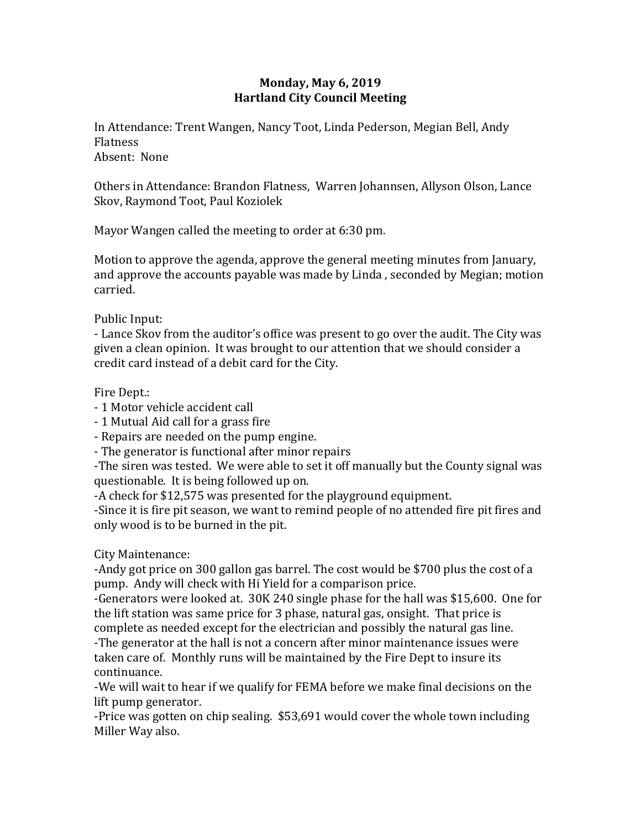## **Monday, May 6, 2019 Hartland City Council Meeting**

In Attendance: Trent Wangen, Nancy Toot, Linda Pederson, Megian Bell, Andy Flatness Absent: None

Others in Attendance: Brandon Flatness, Warren Johannsen, Allyson Olson, Lance Skov, Raymond Toot, Paul Koziolek

Mayor Wangen called the meeting to order at 6:30 pm.

Motion to approve the agenda, approve the general meeting minutes from January, and approve the accounts payable was made by Linda , seconded by Megian; motion carried.

Public Input:

- Lance Skov from the auditor's office was present to go over the audit. The City was given a clean opinion. It was brought to our attention that we should consider a credit card instead of a debit card for the City.

Fire Dept.:

- 1 Motor vehicle accident call
- 1 Mutual Aid call for a grass fire
- Repairs are needed on the pump engine.
- The generator is functional after minor repairs

-The siren was tested. We were able to set it off manually but the County signal was questionable. It is being followed up on.

-A check for \$12,575 was presented for the playground equipment.

-Since it is fire pit season, we want to remind people of no attended fire pit fires and only wood is to be burned in the pit.

City Maintenance:

-Andy got price on 300 gallon gas barrel. The cost would be \$700 plus the cost of a pump. Andy will check with Hi Yield for a comparison price.

-Generators were looked at. 30K 240 single phase for the hall was \$15,600. One for the lift station was same price for 3 phase, natural gas, onsight. That price is complete as needed except for the electrician and possibly the natural gas line.

-The generator at the hall is not a concern after minor maintenance issues were taken care of. Monthly runs will be maintained by the Fire Dept to insure its continuance.

-We will wait to hear if we qualify for FEMA before we make final decisions on the lift pump generator.

-Price was gotten on chip sealing. \$53,691 would cover the whole town including Miller Way also.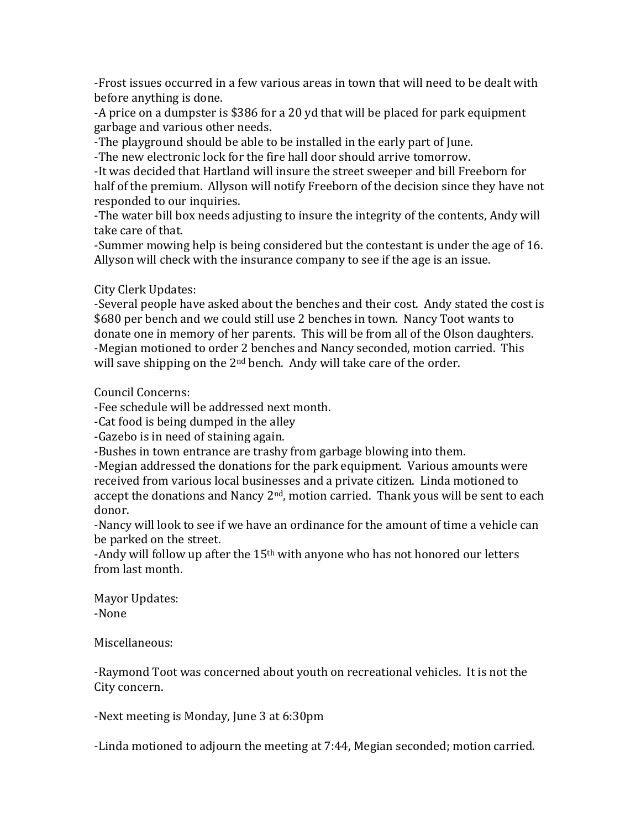-Frost issues occurred in a few various areas in town that will need to be dealt with before anything is done.

-A price on a dumpster is \$386 for a 20 yd that will be placed for park equipment garbage and various other needs.

-The playground should be able to be installed in the early part of June.

-The new electronic lock for the fire hall door should arrive tomorrow.

-It was decided that Hartland will insure the street sweeper and bill Freeborn for half of the premium. Allyson will notify Freeborn of the decision since they have not responded to our inquiries.

-The water bill box needs adjusting to insure the integrity of the contents, Andy will take care of that.

-Summer mowing help is being considered but the contestant is under the age of 16. Allyson will check with the insurance company to see if the age is an issue.

City Clerk Updates:

-Several people have asked about the benches and their cost. Andy stated the cost is \$680 per bench and we could still use 2 benches in town. Nancy Toot wants to donate one in memory of her parents. This will be from all of the Olson daughters. -Megian motioned to order 2 benches and Nancy seconded, motion carried. This will save shipping on the 2<sup>nd</sup> bench. Andy will take care of the order.

Council Concerns:

-Fee schedule will be addressed next month.

-Cat food is being dumped in the alley

-Gazebo is in need of staining again.

-Bushes in town entrance are trashy from garbage blowing into them.

-Megian addressed the donations for the park equipment. Various amounts were received from various local businesses and a private citizen. Linda motioned to accept the donations and Nancy  $2<sup>nd</sup>$ , motion carried. Thank yous will be sent to each donor.

-Nancy will look to see if we have an ordinance for the amount of time a vehicle can be parked on the street.

-Andy will follow up after the 15<sup>th</sup> with anyone who has not honored our letters from last month.

Mayor Updates: -None

Miscellaneous:

-Raymond Toot was concerned about youth on recreational vehicles. It is not the City concern.

-Next meeting is Monday, June 3 at 6:30pm

-Linda motioned to adjourn the meeting at 7:44, Megian seconded; motion carried.